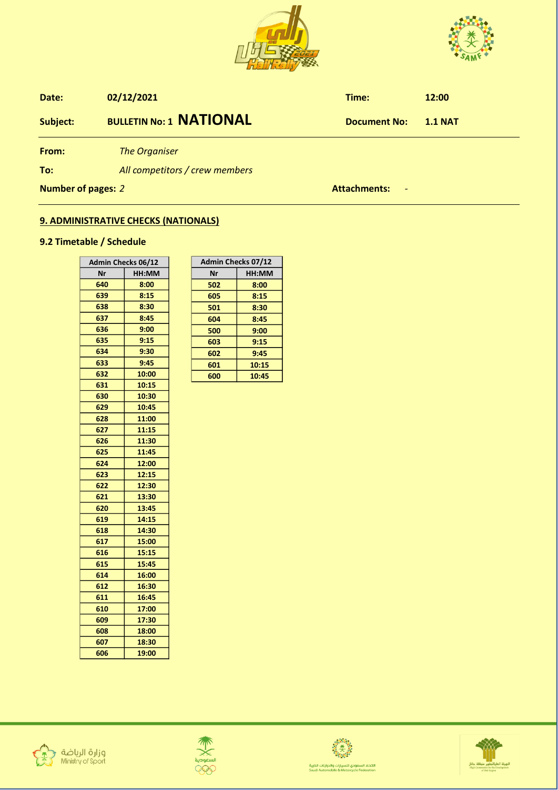



| Date:              | 02/12/2021                     | Time:                                           | 12:00          |
|--------------------|--------------------------------|-------------------------------------------------|----------------|
| Subject:           | <b>BULLETIN No: 1 NATIONAL</b> | <b>Document No:</b>                             | <b>1.1 NAT</b> |
| From:              | <b>The Organiser</b>           |                                                 |                |
| To:                | All competitors / crew members |                                                 |                |
| Number of pages: 2 |                                | <b>Attachments:</b><br>$\overline{\phantom{a}}$ |                |

## **9. ADMINISTRATIVE CHECKS (NATIONALS)**

## **9.2 Timetable / Schedule**

| <b>Admin Checks 06/12</b> |       |  |
|---------------------------|-------|--|
| Nr                        | HH:MM |  |
| 640                       | 8:00  |  |
| 639                       | 8:15  |  |
| 638                       | 8:30  |  |
| 637                       | 8:45  |  |
| 636                       | 9:00  |  |
| 635                       | 9:15  |  |
| 634                       | 9:30  |  |
| 633                       | 9:45  |  |
| 632                       | 10:00 |  |
| 631                       | 10:15 |  |
| 630                       | 10:30 |  |
| 629                       | 10:45 |  |
| 628                       | 11:00 |  |
| 627                       | 11:15 |  |
| 626                       | 11:30 |  |
| 625                       | 11:45 |  |
| 624                       | 12:00 |  |
| 623                       | 12:15 |  |
| 622                       | 12:30 |  |
| 621                       | 13:30 |  |
| 620                       | 13:45 |  |
| 619                       | 14:15 |  |
| 618                       | 14:30 |  |
| 617                       | 15:00 |  |
| 616                       | 15:15 |  |
| 615                       | 15:45 |  |
| 614                       | 16:00 |  |
| 612                       | 16:30 |  |
| 611                       | 16:45 |  |
| 610                       | 17:00 |  |
| 609                       | 17:30 |  |
| 608                       | 18:00 |  |
| 607                       | 18:30 |  |
| 606                       | 19:00 |  |

| <b>Admin Checks 07/12</b> |       |  |
|---------------------------|-------|--|
| Nr                        | HH:MM |  |
| 502                       | 8:00  |  |
| 605                       | 8:15  |  |
| 501                       | 8:30  |  |
| 604                       | 8:45  |  |
| 500                       | 9:00  |  |
| 603                       | 9:15  |  |
| 602                       | 9:45  |  |
| 601                       | 10:15 |  |
| 600                       | 10:45 |  |